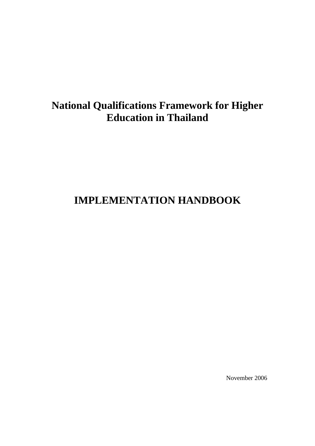# **National Qualifications Framework for Higher Education in Thailand**

# **IMPLEMENTATION HANDBOOK**

November 2006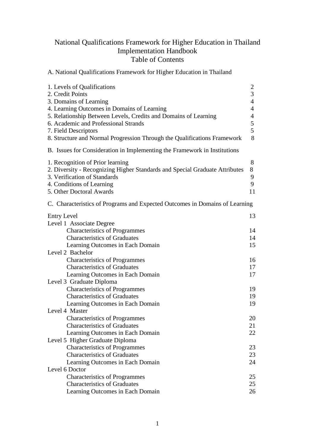# National Qualifications Framework for Higher Education in Thailand Implementation Handbook Table of Contents

A. National Qualifications Framework for Higher Education in Thailand

| 1. Levels of Qualifications<br>2. Credit Points<br>3. Domains of Learning<br>4. Learning Outcomes in Domains of Learning<br>5. Relationship Between Levels, Credits and Domains of Learning<br>6. Academic and Professional Strands<br>7. Field Descriptors<br>8. Structure and Normal Progression Through the Qualifications Framework | $\overline{c}$<br>3<br>$\overline{4}$<br>$\overline{4}$<br>$\overline{4}$<br>$\mathfrak{S}$<br>5<br>8 |
|-----------------------------------------------------------------------------------------------------------------------------------------------------------------------------------------------------------------------------------------------------------------------------------------------------------------------------------------|-------------------------------------------------------------------------------------------------------|
| B. Issues for Consideration in Implementing the Framework in Institutions                                                                                                                                                                                                                                                               |                                                                                                       |
| 1. Recognition of Prior learning<br>2. Diversity - Recognizing Higher Standards and Special Graduate Attributes<br>3. Verification of Standards<br>4. Conditions of Learning<br>5. Other Doctoral Awards                                                                                                                                | 8<br>8<br>9<br>9<br>11                                                                                |
| C. Characteristics of Programs and Expected Outcomes in Domains of Learning                                                                                                                                                                                                                                                             |                                                                                                       |
| <b>Entry Level</b><br>Level 1 Associate Degree                                                                                                                                                                                                                                                                                          | 13                                                                                                    |
| <b>Characteristics of Programmes</b>                                                                                                                                                                                                                                                                                                    | 14                                                                                                    |
| <b>Characteristics of Graduates</b>                                                                                                                                                                                                                                                                                                     | 14                                                                                                    |
| Learning Outcomes in Each Domain                                                                                                                                                                                                                                                                                                        | 15                                                                                                    |
| Level 2 Bachelor                                                                                                                                                                                                                                                                                                                        |                                                                                                       |
| <b>Characteristics of Programmes</b>                                                                                                                                                                                                                                                                                                    | 16                                                                                                    |
| <b>Characteristics of Graduates</b>                                                                                                                                                                                                                                                                                                     | 17                                                                                                    |
| Learning Outcomes in Each Domain                                                                                                                                                                                                                                                                                                        | 17                                                                                                    |
| Level 3 Graduate Diploma                                                                                                                                                                                                                                                                                                                |                                                                                                       |
| <b>Characteristics of Programmes</b>                                                                                                                                                                                                                                                                                                    | 19                                                                                                    |
| <b>Characteristics of Graduates</b>                                                                                                                                                                                                                                                                                                     | 19                                                                                                    |
| Learning Outcomes in Each Domain                                                                                                                                                                                                                                                                                                        | 19                                                                                                    |
| Level 4 Master                                                                                                                                                                                                                                                                                                                          |                                                                                                       |
| <b>Characteristics of Programmes</b>                                                                                                                                                                                                                                                                                                    | 20                                                                                                    |
| <b>Characteristics of Graduates</b>                                                                                                                                                                                                                                                                                                     | 21                                                                                                    |
| Learning Outcomes in Each Domain                                                                                                                                                                                                                                                                                                        | 22                                                                                                    |
| Level 5 Higher Graduate Diploma                                                                                                                                                                                                                                                                                                         |                                                                                                       |
| <b>Characteristics of Programmes</b>                                                                                                                                                                                                                                                                                                    | 23                                                                                                    |
| <b>Characteristics of Graduates</b>                                                                                                                                                                                                                                                                                                     | 23                                                                                                    |
| Learning Outcomes in Each Domain                                                                                                                                                                                                                                                                                                        | 24                                                                                                    |
| Level 6 Doctor                                                                                                                                                                                                                                                                                                                          |                                                                                                       |
| <b>Characteristics of Programmes</b>                                                                                                                                                                                                                                                                                                    | 25                                                                                                    |
| <b>Characteristics of Graduates</b>                                                                                                                                                                                                                                                                                                     | 25                                                                                                    |
| Learning Outcomes in Each Domain                                                                                                                                                                                                                                                                                                        | 26                                                                                                    |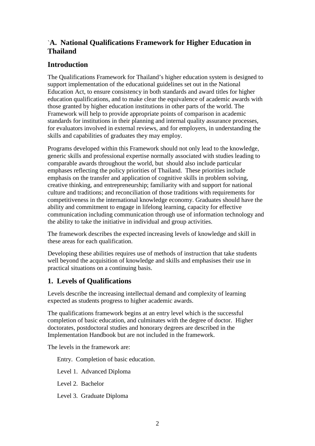# `**A. National Qualifications Framework for Higher Education in Thailand**

# **Introduction**

The Qualifications Framework for Thailand's higher education system is designed to support implementation of the educational guidelines set out in the National Education Act, to ensure consistency in both standards and award titles for higher education qualifications, and to make clear the equivalence of academic awards with those granted by higher education institutions in other parts of the world. The Framework will help to provide appropriate points of comparison in academic standards for institutions in their planning and internal quality assurance processes, for evaluators involved in external reviews, and for employers, in understanding the skills and capabilities of graduates they may employ.

Programs developed within this Framework should not only lead to the knowledge, generic skills and professional expertise normally associated with studies leading to comparable awards throughout the world, but should also include particular emphases reflecting the policy priorities of Thailand. These priorities include emphasis on the transfer and application of cognitive skills in problem solving, creative thinking, and entrepreneurship; familiarity with and support for national culture and traditions; and reconciliation of those traditions with requirements for competitiveness in the international knowledge economy. Graduates should have the ability and commitment to engage in lifelong learning, capacity for effective communication including communication through use of information technology and the ability to take the initiative in individual and group activities.

The framework describes the expected increasing levels of knowledge and skill in these areas for each qualification.

Developing these abilities requires use of methods of instruction that take students well beyond the acquisition of knowledge and skills and emphasises their use in practical situations on a continuing basis.

# **1. Levels of Qualifications**

Levels describe the increasing intellectual demand and complexity of learning expected as students progress to higher academic awards.

The qualifications framework begins at an entry level which is the successful completion of basic education, and culminates with the degree of doctor. Higher doctorates, postdoctoral studies and honorary degrees are described in the Implementation Handbook but are not included in the framework.

The levels in the framework are:

Entry. Completion of basic education.

Level 1. Advanced Diploma

Level 2. Bachelor

Level 3. Graduate Diploma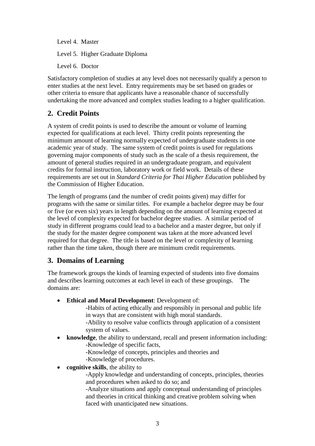Level 4. Master Level 5. Higher Graduate Diploma Level 6. Doctor

Satisfactory completion of studies at any level does not necessarily qualify a person to enter studies at the next level. Entry requirements may be set based on grades or other criteria to ensure that applicants have a reasonable chance of successfully undertaking the more advanced and complex studies leading to a higher qualification.

# **2. Credit Points**

A system of credit points is used to describe the amount or volume of learning expected for qualifications at each level. Thirty credit points representing the minimum amount of learning normally expected of undergraduate students in one academic year of study. The same system of credit points is used for regulations governing major components of study such as the scale of a thesis requirement, the amount of general studies required in an undergraduate program, and equivalent credits for formal instruction, laboratory work or field work. Details of these requirements are set out in *Standard Criteria for Thai Higher Education* published by the Commission of Higher Education.

The length of programs (and the number of credit points given) may differ for programs with the same or similar titles. For example a bachelor degree may be four or five (or even six) years in length depending on the amount of learning expected at the level of complexity expected for bachelor degree studies. A similar period of study in different programs could lead to a bachelor and a master degree, but only if the study for the master degree component was taken at the more advanced level required for that degree. The title is based on the level or complexity of learning rather than the time taken, though there are minimum credit requirements.

# **3. Domains of Learning**

The framework groups the kinds of learning expected of students into five domains and describes learning outcomes at each level in each of these groupings. The domains are:

- **Ethical and Moral Development**: Development of:
	- -Habits of acting ethically and responsibly in personal and public life in ways that are consistent with high moral standards.
	- -Ability to resolve value conflicts through application of a consistent system of values.
- **knowledge**, the ability to understand, recall and present information including: -Knowledge of specific facts,
	- -Knowledge of concepts, principles and theories and
	- -Knowledge of procedures.
- **cognitive skills**, the ability to

-Apply knowledge and understanding of concepts, principles, theories and procedures when asked to do so; and

-Analyze situations and apply conceptual understanding of principles and theories in critical thinking and creative problem solving when faced with unanticipated new situations.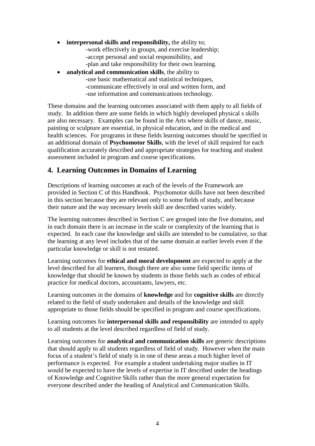- **interpersonal skills and responsibility,** the ability to; -work effectively in groups, and exercise leadership; -accept personal and social responsibility, and -plan and take responsibility for their own learning.
- **analytical and communication skills**, the ability to **-**use basic mathematical and statistical techniques, **-**communicate effectively in oral and written form, and **-**use information and communications technology.

These domains and the learning outcomes associated with them apply to all fields of study. In addition there are some fields in which highly developed physical s skills are also necessary. Examples can be found in the Arts where skills of dance, music, painting or sculpture are essential, in physical education, and in the medical and health sciences. For programs in these fields learning outcomes should be specified in an additional domain of **Psychomotor Skills**, with the level of skill required for each qualification accurately described and appropriate strategies for teaching and student assessment included in program and course specifications.

# **4. Learning Outcomes in Domains of Learning**

Descriptions of learning outcomes at each of the levels of the Framework are provided in Section C of this Handbook. Psychomotor skills have not been described in this section because they are relevant only to some fields of study, and because their nature and the way necessary levels skill are described varies widely.

The learning outcomes described in Section C are grouped into the five domains, and in each domain there is an increase in the scale or complexity of the learning that is expected. In each case the knowledge and skills are intended to be cumulative, so that the learning at any level includes that of the same domain at earlier levels even if the particular knowledge or skill is not restated.

Learning outcomes for **ethical and moral development** are expected to apply at the level described for all learners, though there are also some field specific items of knowledge that should be known by students in those fields such as codes of ethical practice for medical doctors, accountants, lawyers, etc.

Learning outcomes in the domains of **knowledge** and for **cognitive skills** are directly related to the field of study undertaken and details of the knowledge and skill appropriate to those fields should be specified in program and course specifications.

Learning outcomes for **interpersonal skills and responsibility** are intended to apply to all students at the level described regardless of field of study.

Learning outcomes for **analytical and communication skills** are generic descriptions that should apply to all students regardless of field of study. However when the main focus of a student's field of study is in one of these areas a much higher level of performance is expected. For example a student undertaking major studies in IT would be expected to have the levels of expertise in IT described under the headings of Knowledge and Cognitive Skills rather than the more general expectation for everyone described under the heading of Analytical and Communication Skills.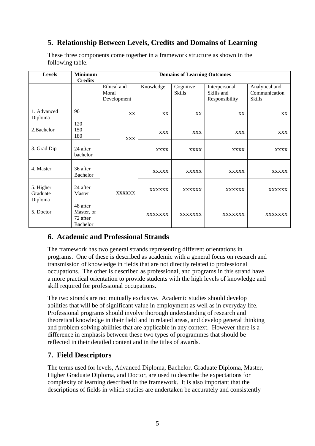# **5. Relationship Between Levels, Credits and Domains of Learning**

| <b>Levels</b>                    | <b>Minimum</b><br><b>Credits</b>                      | <b>Domains of Learning Outcomes</b> |                |                     |                                               |                                           |
|----------------------------------|-------------------------------------------------------|-------------------------------------|----------------|---------------------|-----------------------------------------------|-------------------------------------------|
|                                  |                                                       | Ethical and<br>Moral<br>Development | Knowledge      | Cognitive<br>Skills | Interpersonal<br>Skills and<br>Responsibility | Analytical and<br>Communication<br>Skills |
| 1. Advanced<br>Diploma           | 90                                                    | XX                                  | XX             | XX                  | XX                                            | XX                                        |
| 2. Bachelor                      | 120<br>150<br>180                                     | <b>XXX</b>                          | <b>XXX</b>     | <b>XXX</b>          | <b>XXX</b>                                    | <b>XXX</b>                                |
| 3. Grad Dip                      | 24 after<br>bachelor                                  |                                     | <b>XXXX</b>    | <b>XXXX</b>         | <b>XXXX</b>                                   | <b>XXXX</b>                               |
| 4. Master                        | 36 after<br><b>Bachelor</b>                           |                                     | <b>XXXXX</b>   | <b>XXXXX</b>        | <b>XXXXX</b>                                  | <b>XXXXX</b>                              |
| 5. Higher<br>Graduate<br>Diploma | 24 after<br>Master                                    | <b>XXXXXX</b>                       | <b>XXXXXX</b>  | <b>XXXXXX</b>       | <b>XXXXXX</b>                                 | <b>XXXXXX</b>                             |
| 5. Doctor                        | 48 after<br>Master, or<br>72 after<br><b>Bachelor</b> |                                     | <b>XXXXXXX</b> | <b>XXXXXXX</b>      | <b>XXXXXXX</b>                                | <b>XXXXXXX</b>                            |

These three components come together in a framework structure as shown in the following table.

# **6. Academic and Professional Strands**

The framework has two general strands representing different orientations in programs. One of these is described as academic with a general focus on research and transmission of knowledge in fields that are not directly related to professional occupations. The other is described as professional, and programs in this strand have a more practical orientation to provide students with the high levels of knowledge and skill required for professional occupations.

The two strands are not mutually exclusive. Academic studies should develop abilities that will be of significant value in employment as well as in everyday life. Professional programs should involve thorough understanding of research and theoretical knowledge in their field and in related areas, and develop general thinking and problem solving abilities that are applicable in any context. However there is a difference in emphasis between these two types of programmes that should be reflected in their detailed content and in the titles of awards.

# **7. Field Descriptors**

The terms used for levels, Advanced Diploma, Bachelor, Graduate Diploma, Master, Higher Graduate Diploma, and Doctor, are used to describe the expectations for complexity of learning described in the framework. It is also important that the descriptions of fields in which studies are undertaken be accurately and consistently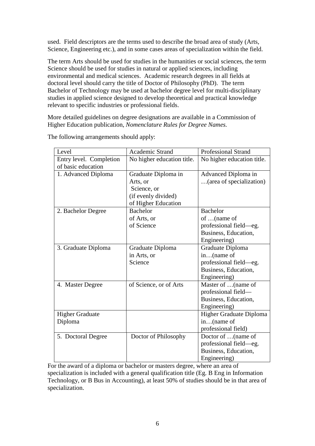used. Field descriptors are the terms used to describe the broad area of study (Arts, Science, Engineering etc.), and in some cases areas of specialization within the field.

The term Arts should be used for studies in the humanities or social sciences, the term Science should be used for studies in natural or applied sciences, including environmental and medical sciences. Academic research degrees in all fields at doctoral level should carry the title of Doctor of Philosophy (PhD). The term Bachelor of Technology may be used at bachelor degree level for multi-disciplinary studies in applied science designed to develop theoretical and practical knowledge relevant to specific industries or professional fields.

More detailed guidelines on degree designations are available in a Commission of Higher Education publication, *Nomenclature Rules for Degree Names.*

| Level                   | Academic Strand            | <b>Professional Strand</b> |
|-------------------------|----------------------------|----------------------------|
| Entry level. Completion | No higher education title. | No higher education title. |
| of basic education      |                            |                            |
| 1. Advanced Diploma     | Graduate Diploma in        | Advanced Diploma in        |
|                         | Arts, or                   | (area of specialization)   |
|                         | Science, or                |                            |
|                         | (if evenly divided)        |                            |
|                         | of Higher Education        |                            |
| 2. Bachelor Degree      | <b>Bachelor</b>            | <b>Bachelor</b>            |
|                         | of Arts, or                | of  (name of               |
|                         | of Science                 | professional field—eg.     |
|                         |                            | Business, Education,       |
|                         |                            | Engineering)               |
| 3. Graduate Diploma     | Graduate Diploma           | Graduate Diploma           |
|                         | in Arts, or                | in(name of                 |
|                         | Science                    | professional field—eg.     |
|                         |                            | Business, Education,       |
|                         |                            | Engineering)               |
| 4. Master Degree        | of Science, or of Arts     | Master of  (name of        |
|                         |                            | professional field-        |
|                         |                            | Business, Education,       |
|                         |                            | Engineering)               |
| <b>Higher Graduate</b>  |                            | Higher Graduate Diploma    |
| Diploma                 |                            | in(name of                 |
|                         |                            | professional field)        |
| 5. Doctoral Degree      | Doctor of Philosophy       | Doctor of  (name of        |
|                         |                            | professional field-eg.     |
|                         |                            | Business, Education,       |
|                         |                            | Engineering)               |

The following arrangements should apply:

For the award of a diploma or bachelor or masters degree, where an area of specialization is included with a general qualification title (Eg. B Eng in Information Technology, or B Bus in Accounting), at least 50% of studies should be in that area of specialization.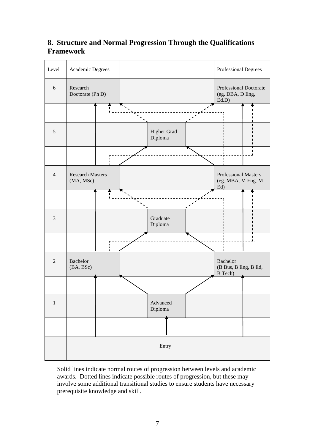# **8. Structure and Normal Progression Through the Qualifications Framework**



Solid lines indicate normal routes of progression between levels and academic awards. Dotted lines indicate possible routes of progression, but these may involve some additional transitional studies to ensure students have necessary prerequisite knowledge and skill.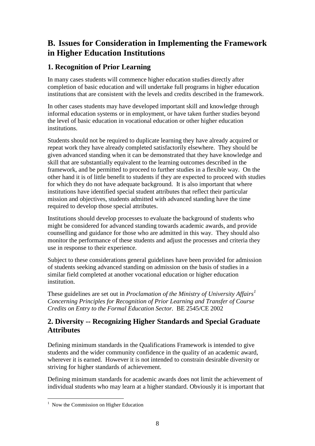# **B. Issues for Consideration in Implementing the Framework in Higher Education Institutions**

# **1. Recognition of Prior Learning**

In many cases students will commence higher education studies directly after completion of basic education and will undertake full programs in higher education institutions that are consistent with the levels and credits described in the framework.

In other cases students may have developed important skill and knowledge through informal education systems or in employment, or have taken further studies beyond the level of basic education in vocational education or other higher education institutions.

Students should not be required to duplicate learning they have already acquired or repeat work they have already completed satisfactorily elsewhere. They should be given advanced standing when it can be demonstrated that they have knowledge and skill that are substantially equivalent to the learning outcomes described in the framework, and be permitted to proceed to further studies in a flexible way. On the other hand it is of little benefit to students if they are expected to proceed with studies for which they do not have adequate background. It is also important that where institutions have identified special student attributes that reflect their particular mission and objectives, students admitted with advanced standing have the time required to develop those special attributes.

Institutions should develop processes to evaluate the background of students who might be considered for advanced standing towards academic awards, and provide counselling and guidance for those who are admitted in this way. They should also monitor the performance of these students and adjust the processes and criteria they use in response to their experience.

Subject to these considerations general guidelines have been provided for admission of students seeking advanced standing on admission on the basis of studies in a similar field completed at another vocational education or higher education institution.

These guidelines are set out in *Proclamation of the Ministry of University Affairs[1](#page-8-0) Concerning Principles for Recognition of Prior Learning and Transfer of Course Credits on Entry to the Formal Education Sector.* BE 2545/CE 2002

# **2. Diversity -- Recognizing Higher Standards and Special Graduate Attributes**

Defining minimum standards in the Qualifications Framework is intended to give students and the wider community confidence in the quality of an academic award, wherever it is earned. However it is not intended to constrain desirable diversity or striving for higher standards of achievement.

Defining minimum standards for academic awards does not limit the achievement of individual students who may learn at a higher standard. Obviously it is important that

<span id="page-8-0"></span> $\frac{1}{1}$  $\frac{1}{1}$  Now the Commission on Higher Education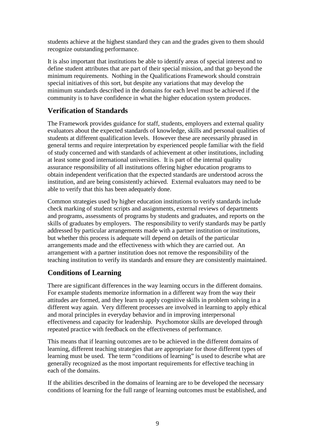students achieve at the highest standard they can and the grades given to them should recognize outstanding performance.

It is also important that institutions be able to identify areas of special interest and to define student attributes that are part of their special mission, and that go beyond the minimum requirements. Nothing in the Qualifications Framework should constrain special initiatives of this sort, but despite any variations that may develop the minimum standards described in the domains for each level must be achieved if the community is to have confidence in what the higher education system produces.

# **Verification of Standards**

The Framework provides guidance for staff, students, employers and external quality evaluators about the expected standards of knowledge, skills and personal qualities of students at different qualification levels.However these are necessarily phrased in general terms and require interpretation by experienced people familiar with the field of study concerned and with standards of achievement at other institutions, including at least some good international universities. It is part of the internal quality assurance responsibility of all institutions offering higher education programs to obtain independent verification that the expected standards are understood across the institution, and are being consistently achieved. External evaluators may need to be able to verify that this has been adequately done.

Common strategies used by higher education institutions to verify standards include check marking of student scripts and assignments, external reviews of departments and programs, assessments of programs by students and graduates, and reports on the skills of graduates by employers. The responsibility to verify standards may be partly addressed by particular arrangements made with a partner institution or institutions, but whether this process is adequate will depend on details of the particular arrangements made and the effectiveness with which they are carried out. An arrangement with a partner institution does not remove the responsibility of the teaching institution to verify its standards and ensure they are consistently maintained.

# **Conditions of Learning**

There are significant differences in the way learning occurs in the different domains. For example students memorize information in a different way from the way their attitudes are formed, and they learn to apply cognitive skills in problem solving in a different way again. Very different processes are involved in learning to apply ethical and moral principles in everyday behavior and in improving interpersonal effectiveness and capacity for leadership. Psychomotor skills are developed through repeated practice with feedback on the effectiveness of performance.

This means that if learning outcomes are to be achieved in the different domains of learning, different teaching strategies that are appropriate for those different types of learning must be used. The term "conditions of learning" is used to describe what are generally recognized as the most important requirements for effective teaching in each of the domains.

If the abilities described in the domains of learning are to be developed the necessary conditions of learning for the full range of learning outcomes must be established, and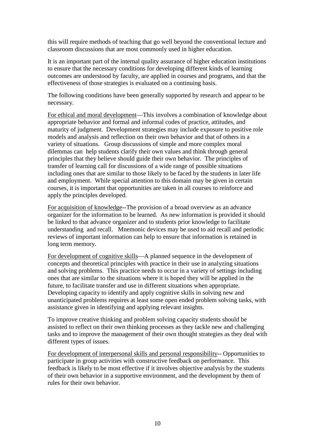this will require methods of teaching that go well beyond the conventional lecture and classroom discussions that are most commonly used in higher education.

It is an important part of the internal quality assurance of higher education institutions to ensure that the necessary conditions for developing different kinds of learning outcomes are understood by faculty, are applied in courses and programs, and that the effectiveness of those strategies is evaluated on a continuing basis.

The following conditions have been generally supported by research and appear to be necessary.

For ethical and moral development—This involves a combination of knowledge about appropriate behavior and formal and informal codes of practice, attitudes, and maturity of judgment. Development strategies may include exposure to positive role models and analysis and reflection on their own behavior and that of others in a variety of situations. Group discussions of simple and more complex moral dilemmas can help students clarify their own values and think through general principles that they believe should guide their own behavior. The principles of transfer of learning call for discussions of a wide range of possible situations including ones that are similar to those likely to be faced by the students in later life and employment. While special attention to this domain may be given in certain courses, it is important that opportunities are taken in all courses to reinforce and apply the principles developed.

For acquisition of knowledge--The provision of a broad overview as an advance organizer for the information to be learned. As new information is provided it should be linked to that advance organizer and to students prior knowledge to facilitate understanding and recall. Mnemonic devices may be used to aid recall and periodic reviews of important information can help to ensure that information is retained in long term memory.

For development of cognitive skills—A planned sequence in the development of concepts and theoretical principles with practice in their use in analyzing situations and solving problems. This practice needs to occur in a variety of settings including ones that are similar to the situations where it is hoped they will be applied in the future, to facilitate transfer and use in different situations when appropriate. Developing capacity to identify and apply cognitive skills in solving new and unanticipated problems requires at least some open ended problem solving tasks, with assistance given in identifying and applying relevant insights.

To improve creative thinking and problem solving capacity students should be assisted to reflect on their own thinking processes as they tackle new and challenging tasks and to improve the management of their own thought strategies as they deal with different types of issues.

For development of interpersonal skills and personal responsibility-- Opportunities to participate in group activities with constructive feedback on performance. This feedback is likely to be most effective if it involves objective analysis by the students of their own behavior in a supportive environment, and the development by them of rules for their own behavior.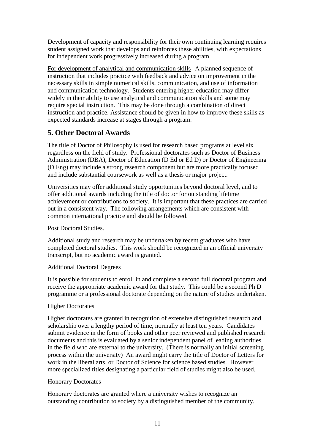Development of capacity and responsibility for their own continuing learning requires student assigned work that develops and reinforces these abilities, with expectations for independent work progressively increased during a program.

For development of analytical and communication skills--A planned sequence of instruction that includes practice with feedback and advice on improvement in the necessary skills in simple numerical skills, communication, and use of information and communication technology. Students entering higher education may differ widely in their ability to use analytical and communication skills and some may require special instruction. This may be done through a combination of direct instruction and practice. Assistance should be given in how to improve these skills as expected standards increase at stages through a program.

# **5. Other Doctoral Awards**

The title of Doctor of Philosophy is used for research based programs at level six regardless on the field of study. Professional doctorates such as Doctor of Business Administration (DBA), Doctor of Education (D Ed or Ed D) or Doctor of Engineering (D Eng) may include a strong research component but are more practically focused and include substantial coursework as well as a thesis or major project.

Universities may offer additional study opportunities beyond doctoral level, and to offer additional awards including the title of doctor for outstanding lifetime achievement or contributions to society. It is important that these practices are carried out in a consistent way. The following arrangements which are consistent with common international practice and should be followed.

Post Doctoral Studies.

Additional study and research may be undertaken by recent graduates who have completed doctoral studies. This work should be recognized in an official university transcript, but no academic award is granted.

# Additional Doctoral Degrees

It is possible for students to enroll in and complete a second full doctoral program and receive the appropriate academic award for that study. This could be a second Ph D programme or a professional doctorate depending on the nature of studies undertaken.

# Higher Doctorates

Higher doctorates are granted in recognition of extensive distinguished research and scholarship over a lengthy period of time, normally at least ten years. Candidates submit evidence in the form of books and other peer reviewed and published research documents and this is evaluated by a senior independent panel of leading authorities in the field who are external to the university. (There is normally an initial screening process within the university) An award might carry the title of Doctor of Letters for work in the liberal arts, or Doctor of Science for science based studies. However more specialized titles designating a particular field of studies might also be used.

### Honorary Doctorates

Honorary doctorates are granted where a university wishes to recognize an outstanding contribution to society by a distinguished member of the community.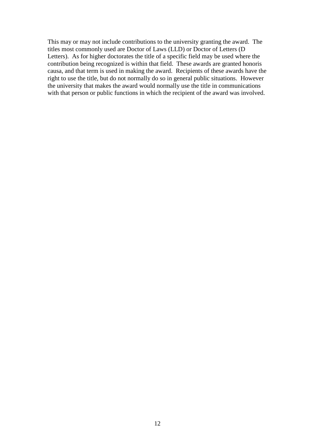This may or may not include contributions to the university granting the award. The titles most commonly used are Doctor of Laws (LLD) or Doctor of Letters (D Letters). As for higher doctorates the title of a specific field may be used where the contribution being recognized is within that field. These awards are granted honoris causa, and that term is used in making the award. Recipients of these awards have the right to use the title, but do not normally do so in general public situations. However the university that makes the award would normally use the title in communications with that person or public functions in which the recipient of the award was involved.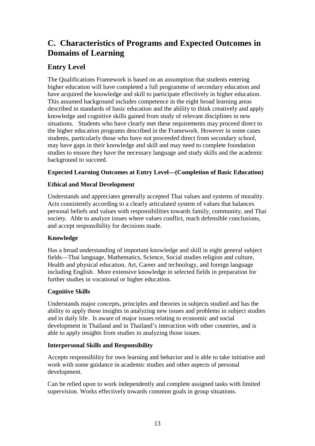# **C. Characteristics of Programs and Expected Outcomes in Domains of Learning**

# **Entry Level**

The Qualifications Framework is based on an assumption that students entering higher education will have completed a full programme of secondary education and have acquired the knowledge and skill to participate effectively in higher education. This assumed background includes competence in the eight broad learning areas described in standards of basic education and the ability to think creatively and apply knowledge and cognitive skills gained from study of relevant disciplines in new situations. Students who have clearly met these requirements may proceed direct to the higher education programs described in the Framework. However in some cases students, particularly those who have not proceeded direct from secondary school, may have gaps in their knowledge and skill and may need to complete foundation studies to ensure they have the necessary language and study skills and the academic background to succeed.

# **Expected Learning Outcomes at Entry Level—(Completion of Basic Education)**

# **Ethical and Moral Development**

Understands and appreciates generally accepted Thai values and systems of morality. Acts consistently according to a clearly articulated system of values that balances personal beliefs and values with responsibilities towards family, community, and Thai society. Able to analyze issues where values conflict, reach defensible conclusions, and accept responsibility for decisions made.

# **Knowledge**

Has a broad understanding of important knowledge and skill in eight general subject fields—Thai language, Mathematics, Science, Social studies religion and culture, Health and physical education, Art, Career and technology, and foreign language including English. More extensive knowledge in selected fields in preparation for further studies in vocational or higher education.

# **Cognitive Skills**

Understands major concepts, principles and theories in subjects studied and has the ability to apply those insights in analyzing new issues and problems in subject studies and in daily life. Is aware of major issues relating to economic and social development in Thailand and in Thailand's interaction with other countries, and is able to apply insights from studies in analyzing those issues.

# **Interpersonal Skills and Responsibility**

Accepts responsibility for own learning and behavior and is able to take initiative and work with some guidance in academic studies and other aspects of personal development.

Can be relied upon to work independently and complete assigned tasks with limited supervision. Works effectively towards common goals in group situations.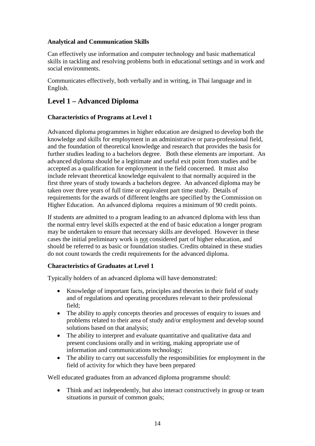### **Analytical and Communication Skills**

Can effectively use information and computer technology and basic mathematical skills in tackling and resolving problems both in educational settings and in work and social environments.

Communicates effectively, both verbally and in writing, in Thai language and in English.

# **Level 1 – Advanced Diploma**

# **Characteristics of Programs at Level 1**

Advanced diploma programmes in higher education are designed to develop both the knowledge and skills for employment in an administrative or para-professional field, and the foundation of theoretical knowledge and research that provides the basis for further studies leading to a bachelors degree. Both these elements are important. An advanced diploma should be a legitimate and useful exit point from studies and be accepted as a qualification for employment in the field concerned. It must also include relevant theoretical knowledge equivalent to that normally acquired in the first three years of study towards a bachelors degree. An advanced diploma may be taken over three years of full time or equivalent part time study. Details of requirements for the awards of different lengths are specified by the Commission on Higher Education. An advanced diploma requires a minimum of 90 credit points.

If students are admitted to a program leading to an advanced diploma with less than the normal entry level skills expected at the end of basic education a longer program may be undertaken to ensure that necessary skills are developed. However in these cases the initial preliminary work is not considered part of higher education, and should be referred to as basic or foundation studies. Credits obtained in these studies do not count towards the credit requirements for the advanced diploma.

### **Characteristics of Graduates at Level 1**

Typically holders of an advanced diploma will have demonstrated:

- Knowledge of important facts, principles and theories in their field of study and of regulations and operating procedures relevant to their professional field;
- The ability to apply concepts theories and processes of enquiry to issues and problems related to their area of study and/or employment and develop sound solutions based on that analysis;
- The ability to interpret and evaluate quantitative and qualitative data and present conclusions orally and in writing, making appropriate use of information and communications technology;
- The ability to carry out successfully the responsibilities for employment in the field of activity for which they have been prepared

Well educated graduates from an advanced diploma programme should:

• Think and act independently, but also interact constructively in group or team situations in pursuit of common goals;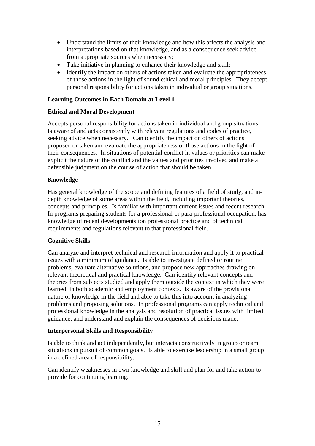- Understand the limits of their knowledge and how this affects the analysis and interpretations based on that knowledge, and as a consequence seek advice from appropriate sources when necessary;
- Take initiative in planning to enhance their knowledge and skill;
- Identify the impact on others of actions taken and evaluate the appropriateness of those actions in the light of sound ethical and moral principles. They accept personal responsibility for actions taken in individual or group situations.

### **Learning Outcomes in Each Domain at Level 1**

### **Ethical and Moral Development**

Accepts personal responsibility for actions taken in individual and group situations. Is aware of and acts consistently with relevant regulations and codes of practice, seeking advice when necessary. Can identify the impact on others of actions proposed or taken and evaluate the appropriateness of those actions in the light of their consequences. In situations of potential conflict in values or priorities can make explicit the nature of the conflict and the values and priorities involved and make a defensible judgment on the course of action that should be taken.

### **Knowledge**

Has general knowledge of the scope and defining features of a field of study, and indepth knowledge of some areas within the field, including important theories, concepts and principles. Is familiar with important current issues and recent research. In programs preparing students for a professional or para-professional occupation, has knowledge of recent developments ion professional practice and of technical requirements and regulations relevant to that professional field.

### **Cognitive Skills**

Can analyze and interpret technical and research information and apply it to practical issues with a minimum of guidance. Is able to investigate defined or routine problems, evaluate alternative solutions, and propose new approaches drawing on relevant theoretical and practical knowledge. Can identify relevant concepts and theories from subjects studied and apply them outside the context in which they were learned, in both academic and employment contexts. Is aware of the provisional nature of knowledge in the field and able to take this into account in analyzing problems and proposing solutions. In professional programs can apply technical and professional knowledge in the analysis and resolution of practical issues with limited guidance, and understand and explain the consequences of decisions made.

### **Interpersonal Skills and Responsibility**

Is able to think and act independently, but interacts constructively in group or team situations in pursuit of common goals. Is able to exercise leadership in a small group in a defined area of responsibility.

Can identify weaknesses in own knowledge and skill and plan for and take action to provide for continuing learning.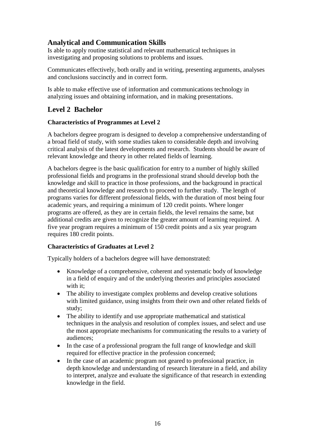# **Analytical and Communication Skills**

Is able to apply routine statistical and relevant mathematical techniques in investigating and proposing solutions to problems and issues.

Communicates effectively, both orally and in writing, presenting arguments, analyses and conclusions succinctly and in correct form.

Is able to make effective use of information and communications technology in analyzing issues and obtaining information, and in making presentations.

# **Level 2 Bachelor**

# **Characteristics of Programmes at Level 2**

A bachelors degree program is designed to develop a comprehensive understanding of a broad field of study, with some studies taken to considerable depth and involving critical analysis of the latest developments and research. Students should be aware of relevant knowledge and theory in other related fields of learning.

A bachelors degree is the basic qualification for entry to a number of highly skilled professional fields and programs in the professional strand should develop both the knowledge and skill to practice in those professions, and the background in practical and theoretical knowledge and research to proceed to further study. The length of programs varies for different professional fields, with the duration of most being four academic years, and requiring a minimum of 120 credit points. Where longer programs are offered, as they are in certain fields, the level remains the same, but additional credits are given to recognize the greater amount of learning required. A five year program requires a minimum of 150 credit points and a six year program requires 180 credit points.

### **Characteristics of Graduates at Level 2**

Typically holders of a bachelors degree will have demonstrated:

- Knowledge of a comprehensive, coherent and systematic body of knowledge in a field of enquiry and of the underlying theories and principles associated with it:
- The ability to investigate complex problems and develop creative solutions with limited guidance, using insights from their own and other related fields of study;
- The ability to identify and use appropriate mathematical and statistical techniques in the analysis and resolution of complex issues, and select and use the most appropriate mechanisms for communicating the results to a variety of audiences;
- In the case of a professional program the full range of knowledge and skill required for effective practice in the profession concerned;
- In the case of an academic program not geared to professional practice, in depth knowledge and understanding of research literature in a field, and ability to interpret, analyze and evaluate the significance of that research in extending knowledge in the field.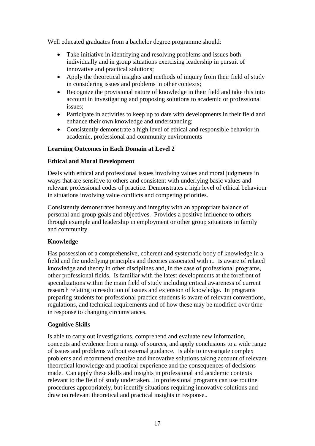Well educated graduates from a bachelor degree programme should:

- Take initiative in identifying and resolving problems and issues both individually and in group situations exercising leadership in pursuit of innovative and practical solutions;
- Apply the theoretical insights and methods of inquiry from their field of study in considering issues and problems in other contexts;
- Recognize the provisional nature of knowledge in their field and take this into account in investigating and proposing solutions to academic or professional issues;
- Participate in activities to keep up to date with developments in their field and enhance their own knowledge and understanding;
- Consistently demonstrate a high level of ethical and responsible behavior in academic, professional and community environments

#### **Learning Outcomes in Each Domain at Level 2**

#### **Ethical and Moral Development**

Deals with ethical and professional issues involving values and moral judgments in ways that are sensitive to others and consistent with underlying basic values and relevant professional codes of practice. Demonstrates a high level of ethical behaviour in situations involving value conflicts and competing priorities.

Consistently demonstrates honesty and integrity with an appropriate balance of personal and group goals and objectives. Provides a positive influence to others through example and leadership in employment or other group situations in family and community.

### **Knowledge**

Has possession of a comprehensive, coherent and systematic body of knowledge in a field and the underlying principles and theories associated with it. Is aware of related knowledge and theory in other disciplines and, in the case of professional programs, other professional fields. Is familiar with the latest developments at the forefront of specializations within the main field of study including critical awareness of current research relating to resolution of issues and extension of knowledge. In programs preparing students for professional practice students is aware of relevant conventions, regulations, and technical requirements and of how these may be modified over time in response to changing circumstances.

#### **Cognitive Skills**

Is able to carry out investigations, comprehend and evaluate new information, concepts and evidence from a range of sources, and apply conclusions to a wide range of issues and problems without external guidance. Is able to investigate complex problems and recommend creative and innovative solutions taking account of relevant theoretical knowledge and practical experience and the consequences of decisions made. Can apply these skills and insights in professional and academic contexts relevant to the field of study undertaken. In professional programs can use routine procedures appropriately, but identify situations requiring innovative solutions and draw on relevant theoretical and practical insights in response..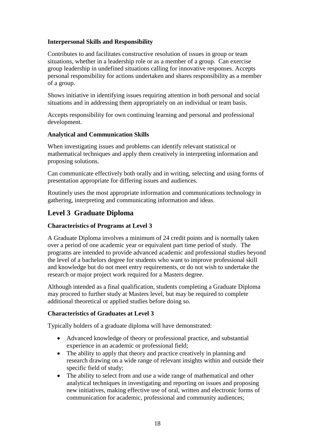### **Interpersonal Skills and Responsibility**

Contributes to and facilitates constructive resolution of issues in group or team situations, whether in a leadership role or as a member of a group. Can exercise group leadership in undefined situations calling for innovative responses. Accepts personal responsibility for actions undertaken and shares responsibility as a member of a group.

Shows initiative in identifying issues requiring attention in both personal and social situations and in addressing them appropriately on an individual or team basis.

Accepts responsibility for own continuing learning and personal and professional development.

#### **Analytical and Communication Skills**

When investigating issues and problems can identify relevant statistical or mathematical techniques and apply them creatively in interpreting information and proposing solutions.

Can communicate effectively both orally and in writing, selecting and using forms of presentation appropriate for differing issues and audiences.

Routinely uses the most appropriate information and communications technology in gathering, interpreting and communicating information and ideas.

# **Level 3 Graduate Diploma**

### **Characteristics of Programs at Level 3**

A Graduate Diploma involves a minimum of 24 credit points and is normally taken over a period of one academic year or equivalent part time period of study. The programs are intended to provide advanced academic and professional studies beyond the level of a bachelors degree for students who want to improve professional skill and knowledge but do not meet entry requirements, or do not wish to undertake the research or major project work required for a Masters degree.

Although intended as a final qualification, students completing a Graduate Diploma may proceed to further study at Masters level, but may be required to complete additional theoretical or applied studies before doing so.

### **Characteristics of Graduates at Level 3**

Typically holders of a graduate diploma will have demonstrated:

- Advanced knowledge of theory or professional practice, and substantial experience in an academic or professional field;
- The ability to apply that theory and practice creatively in planning and research drawing on a wide range of relevant insights within and outside their specific field of study;
- The ability to select from and use a wide range of mathematical and other analytical techniques in investigating and reporting on issues and proposing new initiatives, making effective use of oral, written and electronic forms of communication for academic, professional and community audiences;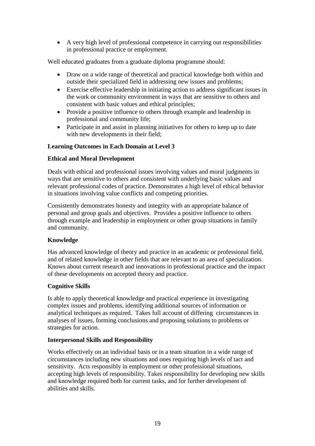• A very high level of professional competence in carrying out responsibilities in professional practice or employment.

Well educated graduates from a graduate diploma programme should:

- Draw on a wide range of theoretical and practical knowledge both within and outside their specialized field in addressing new issues and problems;
- Exercise effective leadership in initiating action to address significant issues in the work or community environment in ways that are sensitive to others and consistent with basic values and ethical principles;
- Provide a positive influence to others through example and leadership in professional and community life;
- Participate in and assist in planning initiatives for others to keep up to date with new developments in their field;

# **Learning Outcomes in Each Domain at Level 3**

# **Ethical and Moral Development**

Deals with ethical and professional issues involving values and moral judgments in ways that are sensitive to others and consistent with underlying basic values and relevant professional codes of practice. Demonstrates a high level of ethical behavior in situations involving value conflicts and competing priorities.

Consistently demonstrates honesty and integrity with an appropriate balance of personal and group goals and objectives. Provides a positive influence to others through example and leadership in employment or other group situations in family and community.

### **Knowledge**

Has advanced knowledge of theory and practice in an academic or professional field, and of related knowledge in other fields that are relevant to an area of specialization. Knows about current research and innovations in professional practice and the impact of these developments on accepted theory and practice.

### **Cognitive Skills**

Is able to apply theoretical knowledge and practical experience in investigating complex issues and problems, identifying additional sources of information or analytical techniques as required. Takes full account of differing circumstances in analyses of issues, forming conclusions and proposing solutions to problems or strategies for action.

### **Interpersonal Skills and Responsibility**

Works effectively on an individual basis or in a team situation in a wide range of circumstances including new situations and ones requiring high levels of tact and sensitivity. Acts responsibly in employment or other professional situations, accepting high levels of responsibility. Takes responsibility for developing new skills and knowledge required both for current tasks, and for further development of abilities and skills.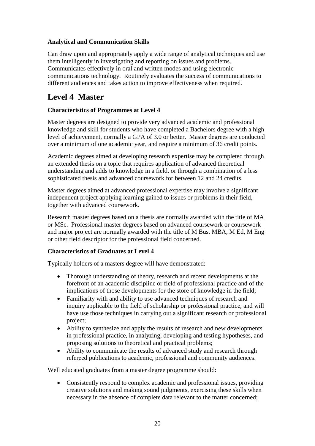# **Analytical and Communication Skills**

Can draw upon and appropriately apply a wide range of analytical techniques and use them intelligently in investigating and reporting on issues and problems. Communicates effectively in oral and written modes and using electronic communications technology. Routinely evaluates the success of communications to different audiences and takes action to improve effectiveness when required.

# **Level 4 Master**

# **Characteristics of Programmes at Level 4**

Master degrees are designed to provide very advanced academic and professional knowledge and skill for students who have completed a Bachelors degree with a high level of achievement, normally a GPA of 3.0 or better. Master degrees are conducted over a minimum of one academic year, and require a minimum of 36 credit points.

Academic degrees aimed at developing research expertise may be completed through an extended thesis on a topic that requires application of advanced theoretical understanding and adds to knowledge in a field, or through a combination of a less sophisticated thesis and advanced coursework for between 12 and 24 credits.

Master degrees aimed at advanced professional expertise may involve a significant independent project applying learning gained to issues or problems in their field, together with advanced coursework.

Research master degrees based on a thesis are normally awarded with the title of MA or MSc. Professional master degrees based on advanced coursework or coursework and major project are normally awarded with the title of M Bus, MBA, M Ed, M Eng or other field descriptor for the professional field concerned.

### **Characteristics of Graduates at Level 4**

Typically holders of a masters degree will have demonstrated:

- Thorough understanding of theory, research and recent developments at the forefront of an academic discipline or field of professional practice and of the implications of those developments for the store of knowledge in the field;
- Familiarity with and ability to use advanced techniques of research and inquiry applicable to the field of scholarship or professional practice, and will have use those techniques in carrying out a significant research or professional project;
- Ability to synthesize and apply the results of research and new developments in professional practice, in analyzing, developing and testing hypotheses, and proposing solutions to theoretical and practical problems;
- Ability to communicate the results of advanced study and research through refereed publications to academic, professional and community audiences.

Well educated graduates from a master degree programme should:

• Consistently respond to complex academic and professional issues, providing creative solutions and making sound judgments, exercising these skills when necessary in the absence of complete data relevant to the matter concerned;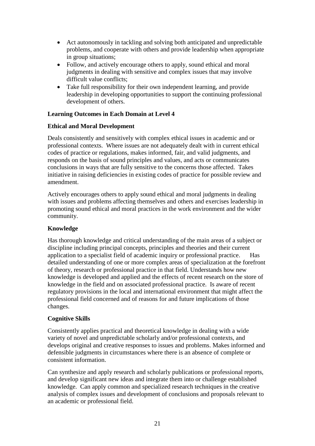- Act autonomously in tackling and solving both anticipated and unpredictable problems, and cooperate with others and provide leadership when appropriate in group situations;
- Follow, and actively encourage others to apply, sound ethical and moral judgments in dealing with sensitive and complex issues that may involve difficult value conflicts;
- Take full responsibility for their own independent learning, and provide leadership in developing opportunities to support the continuing professional development of others.

#### **Learning Outcomes in Each Domain at Level 4**

#### **Ethical and Moral Development**

Deals consistently and sensitively with complex ethical issues in academic and or professional contexts. Where issues are not adequately dealt with in current ethical codes of practice or regulations, makes informed, fair, and valid judgments, and responds on the basis of sound principles and values, and acts or communicates conclusions in ways that are fully sensitive to the concerns those affected. Takes initiative in raising deficiencies in existing codes of practice for possible review and amendment.

Actively encourages others to apply sound ethical and moral judgments in dealing with issues and problems affecting themselves and others and exercises leadership in promoting sound ethical and moral practices in the work environment and the wider community.

#### **Knowledge**

Has thorough knowledge and critical understanding of the main areas of a subject or discipline including principal concepts, principles and theories and their current application to a specialist field of academic inquiry or professional practice. Has detailed understanding of one or more complex areas of specialization at the forefront of theory, research or professional practice in that field. Understands how new knowledge is developed and applied and the effects of recent research on the store of knowledge in the field and on associated professional practice. Is aware of recent regulatory provisions in the local and international environment that might affect the professional field concerned and of reasons for and future implications of those changes.

#### **Cognitive Skills**

Consistently applies practical and theoretical knowledge in dealing with a wide variety of novel and unpredictable scholarly and/or professional contexts, and develops original and creative responses to issues and problems. Makes informed and defensible judgments in circumstances where there is an absence of complete or consistent information.

Can synthesize and apply research and scholarly publications or professional reports, and develop significant new ideas and integrate them into or challenge established knowledge. Can apply common and specialized research techniques in the creative analysis of complex issues and development of conclusions and proposals relevant to an academic or professional field.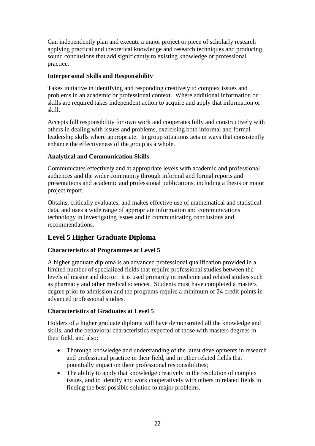Can independently plan and execute a major project or piece of scholarly research applying practical and theoretical knowledge and research techniques and producing sound conclusions that add significantly to existing knowledge or professional practice.

# **Interpersonal Skills and Responsibility**

Takes initiative in identifying and responding creatively to complex issues and problems in an academic or professional context. Where additional information or skills are required takes independent action to acquire and apply that information or skill.

Accepts full responsibility for own work and cooperates fully and constructively with others in dealing with issues and problems, exercising both informal and formal leadership skills where appropriate. In group situations acts in ways that consistently enhance the effectiveness of the group as a whole.

# **Analytical and Communication Skills**

Communicates effectively and at appropriate levels with academic and professional audiences and the wider community through informal and formal reports and presentations and academic and professional publications, including a thesis or major project report.

Obtains, critically evaluates, and makes effective use of mathematical and statistical data, and uses a wide range of appropriate information and communications technology in investigating issues and in communicating conclusions and recommendations.

# **Level 5 Higher Graduate Diploma**

### **Characteristics of Programmes at Level 5**

A higher graduate diploma is an advanced professional qualification provided in a limited number of specialized fields that require professional studies between the levels of master and doctor. It is used primarily in medicine and related studies such as pharmacy and other medical sciences. Students must have completed a masters degree prior to admission and the programs require a minimum of 24 credit points in advanced professional studies.

# **Characteristics of Graduates at Level 5**

Holders of a higher graduate diploma will have demonstrated all the knowledge and skills, and the behavioral characteristics expected of those with masters degrees in their field, and also:

- Thorough knowledge and understanding of the latest developments in research and professional practice in their field, and in other related fields that potentially impact on their professional responsibilities;
- The ability to apply that knowledge creatively in the resolution of complex issues, and to identify and work cooperatively with others in related fields in finding the best possible solution to major problems.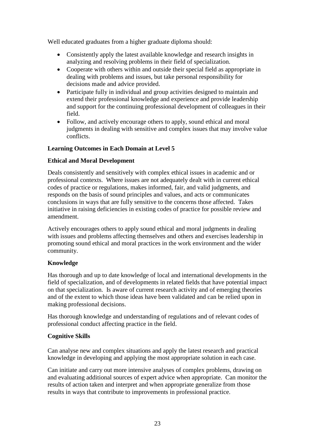Well educated graduates from a higher graduate diploma should:

- Consistently apply the latest available knowledge and research insights in analyzing and resolving problems in their field of specialization.
- Cooperate with others within and outside their special field as appropriate in dealing with problems and issues, but take personal responsibility for decisions made and advice provided.
- Participate fully in individual and group activities designed to maintain and extend their professional knowledge and experience and provide leadership and support for the continuing professional development of colleagues in their field.
- Follow, and actively encourage others to apply, sound ethical and moral judgments in dealing with sensitive and complex issues that may involve value conflicts.

### **Learning Outcomes in Each Domain at Level 5**

#### **Ethical and Moral Development**

Deals consistently and sensitively with complex ethical issues in academic and or professional contexts. Where issues are not adequately dealt with in current ethical codes of practice or regulations, makes informed, fair, and valid judgments, and responds on the basis of sound principles and values, and acts or communicates conclusions in ways that are fully sensitive to the concerns those affected. Takes initiative in raising deficiencies in existing codes of practice for possible review and amendment.

Actively encourages others to apply sound ethical and moral judgments in dealing with issues and problems affecting themselves and others and exercises leadership in promoting sound ethical and moral practices in the work environment and the wider community.

#### **Knowledge**

Has thorough and up to date knowledge of local and international developments in the field of specialization, and of developments in related fields that have potential impact on that specialization. Is aware of current research activity and of emerging theories and of the extent to which those ideas have been validated and can be relied upon in making professional decisions.

Has thorough knowledge and understanding of regulations and of relevant codes of professional conduct affecting practice in the field.

#### **Cognitive Skills**

Can analyse new and complex situations and apply the latest research and practical knowledge in developing and applying the most appropriate solution in each case.

Can initiate and carry out more intensive analyses of complex problems, drawing on and evaluating additional sources of expert advice when appropriate. Can monitor the results of action taken and interpret and when appropriate generalize from those results in ways that contribute to improvements in professional practice.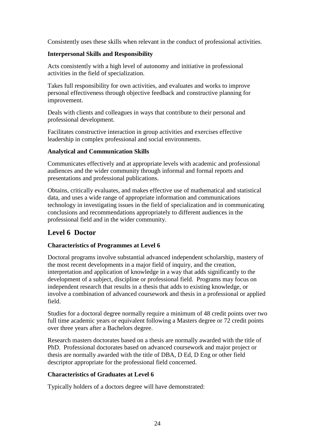Consistently uses these skills when relevant in the conduct of professional activities.

#### **Interpersonal Skills and Responsibility**

Acts consistently with a high level of autonomy and initiative in professional activities in the field of specialization.

Takes full responsibility for own activities, and evaluates and works to improve personal effectiveness through objective feedback and constructive planning for improvement.

Deals with clients and colleagues in ways that contribute to their personal and professional development.

Facilitates constructive interaction in group activities and exercises effective leadership in complex professional and social environments.

#### **Analytical and Communication Skills**

Communicates effectively and at appropriate levels with academic and professional audiences and the wider community through informal and formal reports and presentations and professional publications.

Obtains, critically evaluates, and makes effective use of mathematical and statistical data, and uses a wide range of appropriate information and communications technology in investigating issues in the field of specialization and in communicating conclusions and recommendations appropriately to different audiences in the professional field and in the wider community.

# **Level 6 Doctor**

### **Characteristics of Programmes at Level 6**

Doctoral programs involve substantial advanced independent scholarship, mastery of the most recent developments in a major field of inquiry, and the creation, interpretation and application of knowledge in a way that adds significantly to the development of a subject, discipline or professional field. Programs may focus on independent research that results in a thesis that adds to existing knowledge, or involve a combination of advanced coursework and thesis in a professional or applied field.

Studies for a doctoral degree normally require a minimum of 48 credit points over two full time academic years or equivalent following a Masters degree or 72 credit points over three years after a Bachelors degree.

Research masters doctorates based on a thesis are normally awarded with the title of PhD. Professional doctorates based on advanced coursework and major project or thesis are normally awarded with the title of DBA, D Ed, D Eng or other field descriptor appropriate for the professional field concerned.

#### **Characteristics of Graduates at Level 6**

Typically holders of a doctors degree will have demonstrated: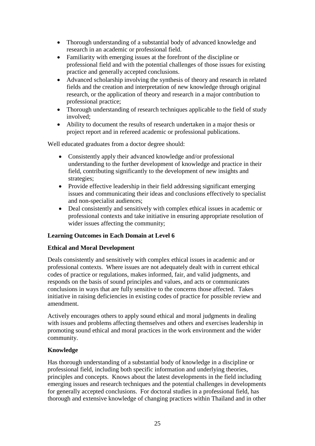- Thorough understanding of a substantial body of advanced knowledge and research in an academic or professional field.
- Familiarity with emerging issues at the forefront of the discipline or professional field and with the potential challenges of those issues for existing practice and generally accepted conclusions.
- Advanced scholarship involving the synthesis of theory and research in related fields and the creation and interpretation of new knowledge through original research, or the application of theory and research in a major contribution to professional practice;
- Thorough understanding of research techniques applicable to the field of study involved;
- Ability to document the results of research undertaken in a major thesis or project report and in refereed academic or professional publications.

Well educated graduates from a doctor degree should:

- Consistently apply their advanced knowledge and/or professional understanding to the further development of knowledge and practice in their field, contributing significantly to the development of new insights and strategies;
- Provide effective leadership in their field addressing significant emerging issues and communicating their ideas and conclusions effectively to specialist and non-specialist audiences;
- Deal consistently and sensitively with complex ethical issues in academic or professional contexts and take initiative in ensuring appropriate resolution of wider issues affecting the community;

# **Learning Outcomes in Each Domain at Level 6**

### **Ethical and Moral Development**

Deals consistently and sensitively with complex ethical issues in academic and or professional contexts. Where issues are not adequately dealt with in current ethical codes of practice or regulations, makes informed, fair, and valid judgments, and responds on the basis of sound principles and values, and acts or communicates conclusions in ways that are fully sensitive to the concerns those affected. Takes initiative in raising deficiencies in existing codes of practice for possible review and amendment.

Actively encourages others to apply sound ethical and moral judgments in dealing with issues and problems affecting themselves and others and exercises leadership in promoting sound ethical and moral practices in the work environment and the wider community.

### **Knowledge**

Has thorough understanding of a substantial body of knowledge in a discipline or professional field, including both specific information and underlying theories, principles and concepts. Knows about the latest developments in the field including emerging issues and research techniques and the potential challenges in developments for generally accepted conclusions. For doctoral studies in a professional field, has thorough and extensive knowledge of changing practices within Thailand and in other